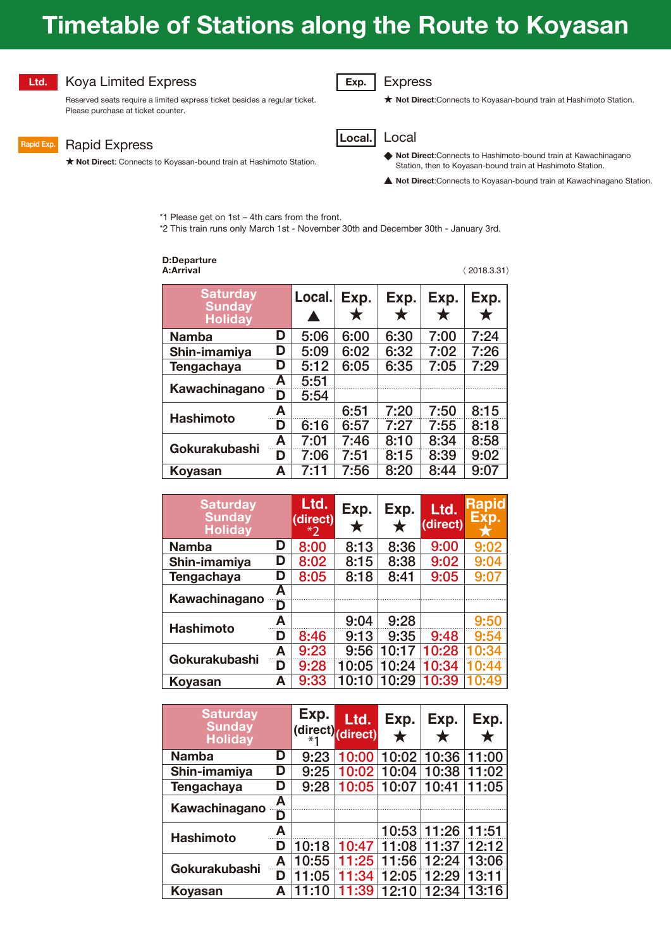# **Timetable of Stations along the Route to Koyasan**



## **Ltd.** Koya Limited Express

Reserved seats require a limited express ticket besides a regular ticket. ★ **Not Direct**:Connects to Koyasan-bound train at Hashimoto Station. Please purchase at ticket counter.





### Rapid Express

★ ◆ **Not Direct**: Connects to Koyasan-bound train at Hashimoto Station.



**Not Direct**:Connects to Hashimoto-bound train at Kawachinagano Station, then to Koyasan-bound train at Hashimoto Station.

( 2018.3.31)

- ▲ **Not Direct**:Connects to Koyasan-bound train at Kawachinagano Station.
- \*1 Please get on 1st 4th cars from the front.
- \*2 This train runs only March 1st November 30th and December 30th January 3rd.

#### **D:Departure A:Arrival**

| <b>Saturday</b><br><b>Sunday</b><br><b>Holiday</b> |   | Local. | Exp.<br>$\bigstar$ | Exp.<br>Х | Exp. | Exp.<br>Х |
|----------------------------------------------------|---|--------|--------------------|-----------|------|-----------|
| Namba                                              | D | 5:06   | 6:00               | 6:30      | 7:00 | 7:24      |
| Shin-imamiya                                       | D | 5:09   | 6:02               | 6:32      | 7:02 | 7:26      |
| Tengachaya                                         | D | 5:12   | 6:05               | 6:35      | 7:05 | 7:29      |
|                                                    | А | 5:51   |                    |           |      |           |
| Kawachinagano                                      | D | 5:54   |                    |           |      |           |
| <b>Hashimoto</b>                                   | Α |        | 6:51               | 7:20      | 7:50 | 8:15      |
|                                                    | D | 6:16   | 6:57               | 7:27      | 7:55 | 8:18      |
| Gokurakubashi                                      | A | 7:01   | 7:46               | 8:10      | 8:34 | 8:58      |
|                                                    | D | 7:06   | 7:51               | 8:15      | 8:39 | 9:02      |
| Kovasan                                            | Α | 7:11   | 7:56               | 8:20      | 8:44 | 9:07      |

| <b>Saturday</b><br><b>Sunday</b><br><b>Holiday</b> |        | Ltd.<br>(direct)<br>$*$ | Exp.<br>★ | Exp.  | Ltd.<br>(direct) | <b>Rapid</b><br>Exp. |
|----------------------------------------------------|--------|-------------------------|-----------|-------|------------------|----------------------|
| <b>Namba</b>                                       | D      | 8:00                    | 8:13      | 8:36  | 9:00             | 9:02                 |
| Shin-imamiya                                       | D      | 8:02                    | 8:15      | 8:38  | 9:02             | 9:04                 |
| Tengachaya                                         | D      | 8:05                    | 8:18      | 8:41  | 9:05             | 9:07                 |
| Kawachinagano                                      | А<br>D |                         |           |       |                  |                      |
| <b>Hashimoto</b>                                   | А      |                         | 9:04      | 9:28  |                  | 9:50                 |
|                                                    | D      | 8:46                    | 9:13      | 9:35  | 9:48             | 9:54                 |
| Gokurakubashi                                      | A      | 9:23                    | 9:56      | 10:17 | 10:28            | 10:34                |
|                                                    | D      | 9:28                    | 10:05     | 10:24 | 10:34            | 10:44                |
| <b>Koyasan</b>                                     | А      | 9:33                    | 10:10     | 10:29 | 10:39            |                      |

| <b>Saturday</b><br><b>Sunday</b><br><b>Holiday</b> |        | Exp.<br>(direct) <sub>(direct)</sub> | Ltd.  | Exp.  | Exp.  | Exp.  |
|----------------------------------------------------|--------|--------------------------------------|-------|-------|-------|-------|
| <b>Namba</b>                                       | D      | 9:23                                 | 10:00 | 10:02 | 10:36 | 11:00 |
| Shin-imamiya                                       | D      | 9:25                                 | 10:02 | 10:04 | 10:38 | 11:02 |
| <b>Tengachaya</b>                                  | D      | 9:28                                 | 10:05 | 10:07 | 10:41 | 11:05 |
| Kawachinagano                                      | А<br>D |                                      |       |       |       |       |
| <b>Hashimoto</b>                                   | A      |                                      |       | 10:53 | 11:26 | 11:51 |
|                                                    | D      | 10:18                                | 10:47 | 11:08 | 11:37 | 12:12 |
| Gokurakubashi                                      | A      | 10:55                                | 11:25 | 11:56 | 12:24 | 13:06 |
|                                                    | D      | 11:05                                | 11:34 | 12:05 | 12:29 | 13:11 |
| <b>Koyasan</b>                                     | А      |                                      | 11:39 | 12:10 | 12:34 | 13:16 |